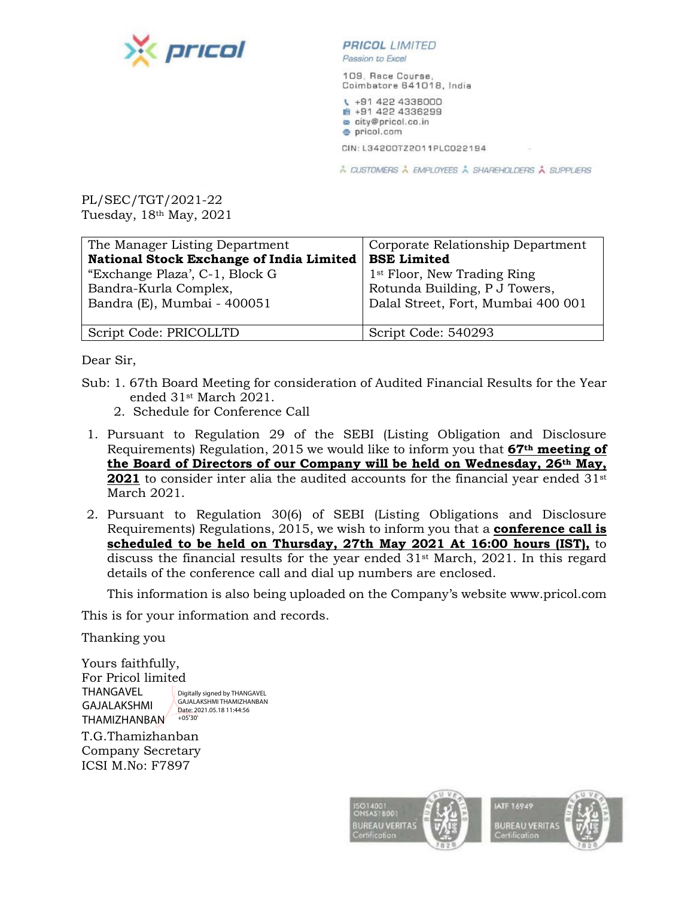

#### **PRICOL** LIMITED

Passion to Excel

109, Race Course, Coimbatore 641018, India

₹ +91 422 4336000 ₩ +91 422 4336299 city@pricol.co.in · pricol.com

CIN: L34200TZ2011PLC022194

À CUSTOMERS À EMPLOYEES À SHAREHOLDERS À SUPPLIERS

PL/SEC/TGT/2021-22 Tuesday, 18th May, 2021

| The Manager Listing Department                  | Corporate Relationship Department       |
|-------------------------------------------------|-----------------------------------------|
| <b>National Stock Exchange of India Limited</b> | <b>BSE Limited</b>                      |
| "Exchange Plaza", C-1, Block G                  | 1 <sup>st</sup> Floor, New Trading Ring |
| Bandra-Kurla Complex,                           | Rotunda Building, P J Towers,           |
| Bandra (E), Mumbai - 400051                     | Dalal Street, Fort, Mumbai 400 001      |
|                                                 |                                         |
| Script Code: PRICOLLTD                          | Script Code: 540293                     |

Dear Sir,

- Sub: 1. 67th Board Meeting for consideration of Audited Financial Results for the Year ended 31st March 2021.
	- 2. Schedule for Conference Call
- 1. Pursuant to Regulation 29 of the SEBI (Listing Obligation and Disclosure Requirements) Regulation, 2015 we would like to inform you that **67th meeting of the Board of Directors of our Company will be held on Wednesday, 26th May, 2021** to consider inter alia the audited accounts for the financial year ended 31<sup>st</sup> March 2021.
- 2. Pursuant to Regulation 30(6) of SEBI (Listing Obligations and Disclosure Requirements) Regulations, 2015, we wish to inform you that a **conference call is scheduled to be held on Thursday, 27th May 2021 At 16:00 hours (IST),** to discuss the financial results for the year ended  $31<sup>st</sup>$  March, 2021. In this regard details of the conference call and dial up numbers are enclosed.

This information is also being uploaded on the Company's website www.pricol.com

This is for your information and records.

Thanking you

Yours faithfully, For Pricol limited THANGAVEL GAJALAKSHMI THAMIZHANBAN Digitally signed by THANGAVEL GAJALAKSHMI THAMIZHANBAN Date: 2021.05.18 11:44:56 +05'30'

T.G.Thamizhanban Company Secretary ICSI M.No: F7897

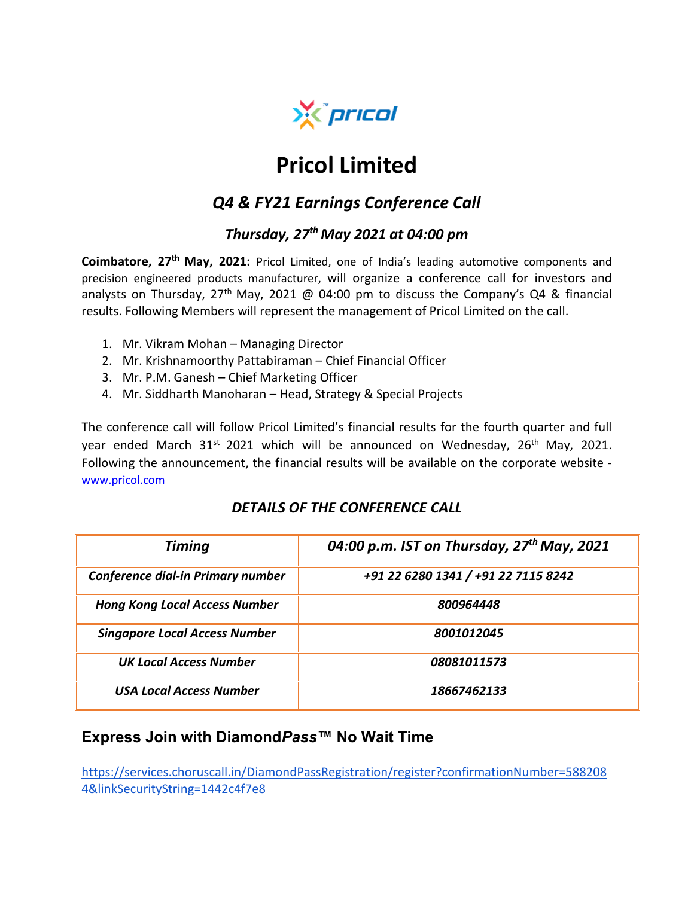

# **Pricol Limited**

## *Q4 & FY21 Earnings Conference Call*

## *Thursday, 27th May 2021 at 04:00 pm*

**Coimbatore, 27th May, 2021:** Pricol Limited, one of India's leading automotive components and precision engineered products manufacturer, will organize a conference call for investors and analysts on Thursday, 27<sup>th</sup> May, 2021 @ 04:00 pm to discuss the Company's Q4 & financial results. Following Members will represent the management of Pricol Limited on the call.

- 1. Mr. Vikram Mohan Managing Director
- 2. Mr. Krishnamoorthy Pattabiraman Chief Financial Officer
- 3. Mr. P.M. Ganesh Chief Marketing Officer
- 4. Mr. Siddharth Manoharan Head, Strategy & Special Projects

The conference call will follow Pricol Limited's financial results for the fourth quarter and full year ended March  $31<sup>st</sup>$  2021 which will be announced on Wednesday, 26<sup>th</sup> May, 2021. Following the announcement, the financial results will be available on the corporate website [www.pricol.com](http://www.pricol.com/)

#### *DETAILS OF THE CONFERENCE CALL*

| <b>Timing</b>                        | 04:00 p.m. IST on Thursday, $27th$ May, 2021 |
|--------------------------------------|----------------------------------------------|
| Conference dial-in Primary number    | +91 22 6280 1341 / +91 22 7115 8242          |
| <b>Hong Kong Local Access Number</b> | 800964448                                    |
| <b>Singapore Local Access Number</b> | 8001012045                                   |
| <b>UK Local Access Number</b>        | 08081011573                                  |
| <b>USA Local Access Number</b>       | 18667462133                                  |

### **Express Join with Diamond***Pass***™ No Wait Time**

[https://services.choruscall.in/DiamondPassRegistration/register?confirmationNumber=588208](https://services.choruscall.in/DiamondPassRegistration/register?confirmationNumber=5882084&linkSecurityString=1442c4f7e8) [4&linkSecurityString=1442c4f7e8](https://services.choruscall.in/DiamondPassRegistration/register?confirmationNumber=5882084&linkSecurityString=1442c4f7e8)